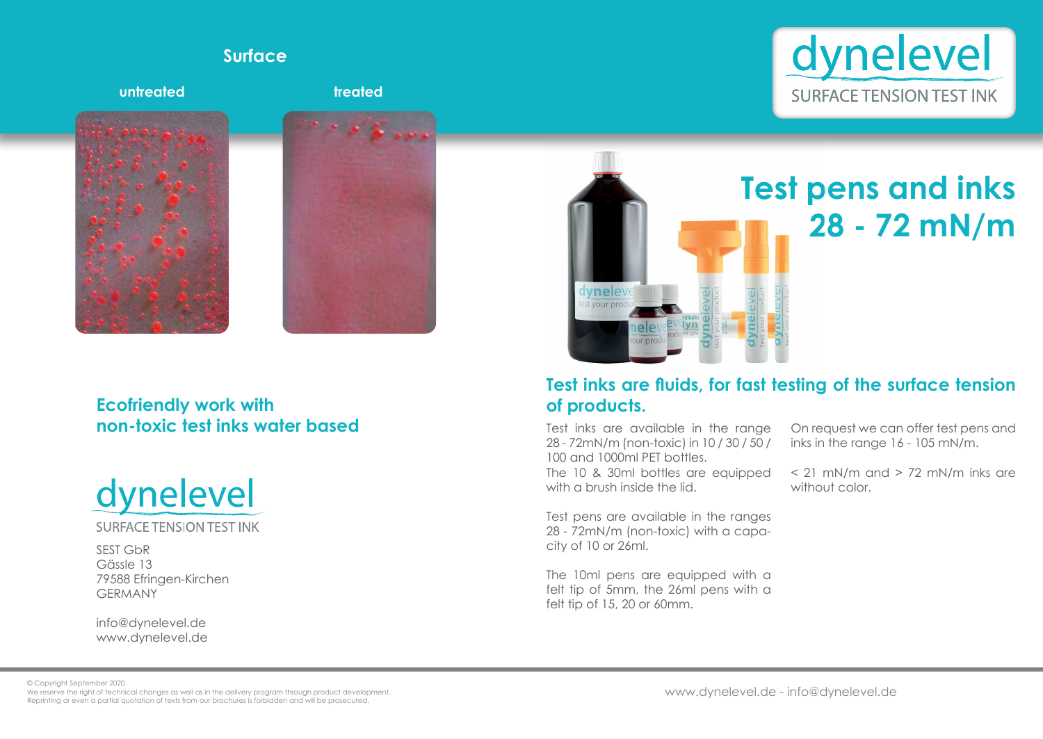# **Test pens and inks 28 - 72 mN/m**

SEST GbR Gässle 13 79588 Efringen-Kirchen GERMANY

Test inks are available in the range 28 - 72mN/m (non-toxic) in 10 / 30 / 50 / 100 and 1000ml PET bottles. The 10 & 30ml bottles are equipped with a brush inside the lid.

info@dynelevel.de www.dynelevel.de vneley t your proc <u>lyn elgel</u> ur pro

- On request we can offer test pens and inks in the range 16 - 105 mN/m.
- $\leq$  21 mN/m and  $>$  72 mN/m inks are without color.

Test pens are available in the ranges 28 - 72mN/m (non-toxic) with a capacity of 10 or 26ml.

## Test inks are fluids, for fast testing of the surface tension **of products.**

The 10ml pens are equipped with a felt tip of 5mm, the 26ml pens with a felt tip of 15, 20 or 60mm.



### **Ecofriendly work with non-toxic test inks water based**



**SURFACE TENSION TEST INK** 



### **Surface**

© Copyright September 2020

We reserve the right of technical changes as well as in the delivery program through product development. Reprinting or even a partial quotation of texts from our brochures is forbidden and will be prosecuted.